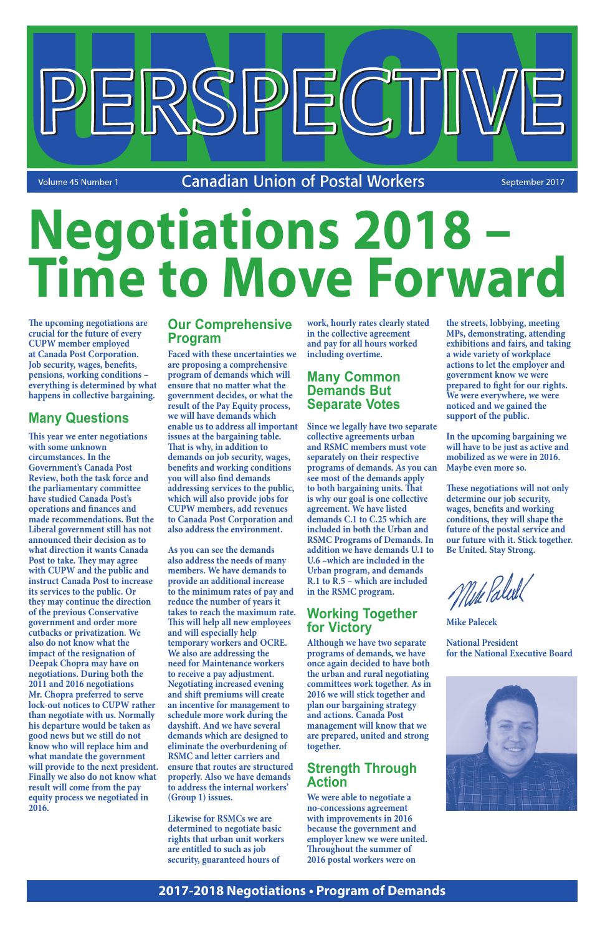**Canadian Union of Postal Workers** 

ERSPECT

September 2017

**The upcoming negotiations are crucial for the future of every CUPW member employed at Canada Post Corporation. Job security, wages, benefits, pensions, working conditions – everything is determined by what happens in collective bargaining.**

## **Many Questions**

Volume 45 Number 1

**This year we enter negotiations with some unknown circumstances. In the Government's Canada Post Review, both the task force and the parliamentary committee have studied Canada Post's operations and finances and made recommendations. But the Liberal government still has not announced their decision as to what direction it wants Canada Post to take. They may agree with CUPW and the public and instruct Canada Post to increase its services to the public. Or they may continue the direction of the previous Conservative government and order more cutbacks or privatization. We also do not know what the impact of the resignation of Deepak Chopra may have on negotiations. During both the 2011 and 2016 negotiations Mr. Chopra preferred to serve lock-out notices to CUPW rather than negotiate with us. Normally his departure would be taken as good news but we still do not know who will replace him and what mandate the government will provide to the next president. Finally we also do not know what result will come from the pay equity process we negotiated in 2016.** 

## **Our Comprehensive Program**

**Faced with these uncertainties we are proposing a comprehensive program of demands which will ensure that no matter what the government decides, or what the result of the Pay Equity process, we will have demands which enable us to address all important issues at the bargaining table. That is why, in addition to demands on job security, wages, benefits and working conditions you will also find demands addressing services to the public, which will also provide jobs for CUPW members, add revenues to Canada Post Corporation and also address the environment.** 

**As you can see the demands also address the needs of many members. We have demands to provide an additional increase to the minimum rates of pay and reduce the number of years it takes to reach the maximum rate. This will help all new employees and will especially help temporary workers and OCRE. We also are addressing the need for Maintenance workers to receive a pay adjustment. Negotiating increased evening and shift premiums will create an incentive for management to schedule more work during the dayshift. And we have several demands which are designed to eliminate the overburdening of RSMC and letter carriers and ensure that routes are structured properly. Also we have demands to address the internal workers' (Group 1) issues.**

**Likewise for RSMCs we are determined to negotiate basic rights that urban unit workers are entitled to such as job security, guaranteed hours of** 

**work, hourly rates clearly stated in the collective agreement and pay for all hours worked including overtime.**

## **Many Common Demands But Separate Votes**

**Since we legally have two separate collective agreements urban and RSMC members must vote separately on their respective programs of demands. As you can see most of the demands apply to both bargaining units. That is why our goal is one collective agreement. We have listed demands C.1 to C.25 which are included in both the Urban and RSMC Programs of Demands. In addition we have demands U.1 to U.6 –which are included in the Urban program, and demands R.1 to R.5 – which are included in the RSMC program.**

## **Working Together for Victory**

**Although we have two separate programs of demands, we have once again decided to have both the urban and rural negotiating committees work together. As in 2016 we will stick together and plan our bargaining strategy and actions. Canada Post management will know that we are prepared, united and strong together.**

## **Strength Through Action**

**We were able to negotiate a no-concessions agreement with improvements in 2016 because the government and employer knew we were united. Throughout the summer of 2016 postal workers were on** 



**the streets, lobbying, meeting MPs, demonstrating, attending exhibitions and fairs, and taking a wide variety of workplace actions to let the employer and government know we were prepared to fight for our rights. We were everywhere, we were noticed and we gained the support of the public.**

**In the upcoming bargaining we will have to be just as active and mobilized as we were in 2016. Maybe even more so.** 

**These negotiations will not only determine our job security, wages, benefits and working conditions, they will shape the future of the postal service and our future with it. Stick together. Be United. Stay Strong.**

Mike Paleil

**Mike Palecek**

**National President for the National Executive Board**



## **2017-2018 Negotiations • Program of Demands**

# **Negotiations 2018 – Time to Move Forward**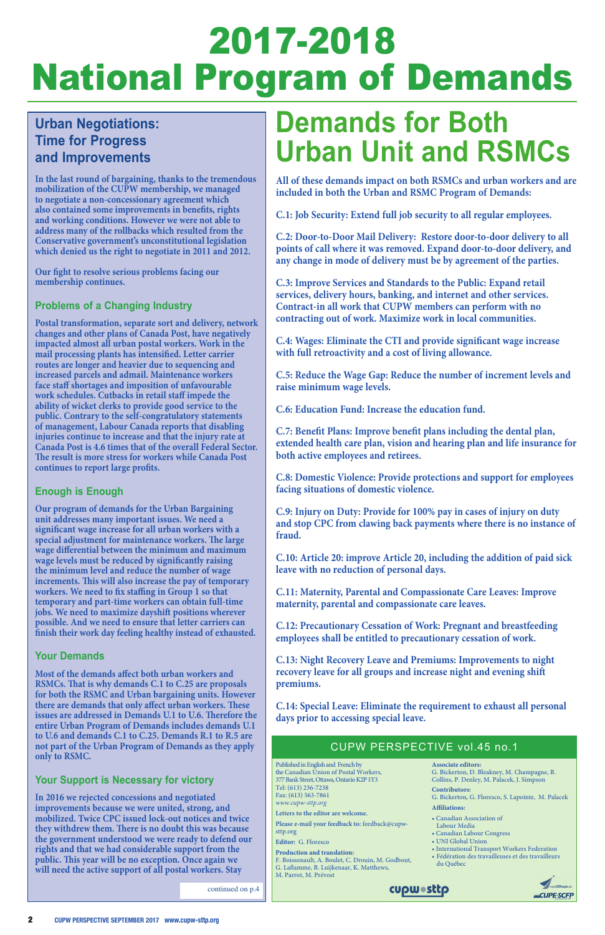## 2017-2018 National Program of Demands

## **Demands for Both Urban Unit and RSMCs**

**All of these demands impact on both RSMCs and urban workers and are included in both the Urban and RSMC Program of Demands:**

**C.1: Job Security: Extend full job security to all regular employees.**

**C.2: Door-to-Door Mail Delivery: Restore door-to-door delivery to all points of call where it was removed. Expand door-to-door delivery, and any change in mode of delivery must be by agreement of the parties.**

**C.3: Improve Services and Standards to the Public: Expand retail services, delivery hours, banking, and internet and other services. Contract-in all work that CUPW members can perform with no contracting out of work. Maximize work in local communities.**

**C.4: Wages: Eliminate the CTI and provide significant wage increase with full retroactivity and a cost of living allowance.**

**C.5: Reduce the Wage Gap: Reduce the number of increment levels and raise minimum wage levels.**

**C.6: Education Fund: Increase the education fund.**

**C.7: Benefit Plans: Improve benefit plans including the dental plan, extended health care plan, vision and hearing plan and life insurance for both active employees and retirees.**

**C.8: Domestic Violence: Provide protections and support for employees facing situations of domestic violence.**

**C.9: Injury on Duty: Provide for 100% pay in cases of injury on duty and stop CPC from clawing back payments where there is no instance of fraud.**

**C.10: Article 20: improve Article 20, including the addition of paid sick leave with no reduction of personal days.**

**C.11: Maternity, Parental and Compassionate Care Leaves: Improve maternity, parental and compassionate care leaves.**

**C.12: Precautionary Cessation of Work: Pregnant and breastfeeding employees shall be entitled to precautionary cessation of work.**

**C.13: Night Recovery Leave and Premiums: Improvements to night recovery leave for all groups and increase night and evening shift premiums.**

**C.14: Special Leave: Eliminate the requirement to exhaust all personal days prior to accessing special leave.** 

## **Urban Negotiations: Time for Progress and Improvements**

**In the last round of bargaining, thanks to the tremendous mobilization of the CUPW membership, we managed to negotiate a non-concessionary agreement which also contained some improvements in benefits, rights and working conditions. However we were not able to address many of the rollbacks which resulted from the Conservative government's unconstitutional legislation which denied us the right to negotiate in 2011 and 2012.**

**Our fight to resolve serious problems facing our membership continues.**

## **Problems of a Changing Industry**

**Postal transformation, separate sort and delivery, network changes and other plans of Canada Post, have negatively impacted almost all urban postal workers. Work in the mail processing plants has intensified. Letter carrier routes are longer and heavier due to sequencing and increased parcels and admail. Maintenance workers face staff shortages and imposition of unfavourable work schedules. Cutbacks in retail staff impede the ability of wicket clerks to provide good service to the public. Contrary to the self-congratulatory statements of management, Labour Canada reports that disabling injuries continue to increase and that the injury rate at Canada Post is 4.6 times that of the overall Federal Sector. The result is more stress for workers while Canada Post continues to report large profits.**

## **Enough is Enough**

**Our program of demands for the Urban Bargaining unit addresses many important issues. We need a significant wage increase for all urban workers with a special adjustment for maintenance workers. The large wage differential between the minimum and maximum wage levels must be reduced by significantly raising the minimum level and reduce the number of wage increments. This will also increase the pay of temporary workers. We need to fix staffing in Group 1 so that temporary and part-time workers can obtain full-time jobs. We need to maximize dayshift positions wherever possible. And we need to ensure that letter carriers can finish their work day feeling healthy instead of exhausted.**

### **Your Demands**

**Most of the demands affect both urban workers and RSMCs. That is why demands C.1 to C.25 are proposals** 

**for both the RSMC and Urban bargaining units. However there are demands that only affect urban workers. These issues are addressed in Demands U.1 to U.6. Therefore the entire Urban Program of Demands includes demands U.1 to U.6 and demands C.1 to C.25. Demands R.1 to R.5 are not part of the Urban Program of Demands as they apply only to RSMC.**

### **Your Support is Necessary for victory**

**In 2016 we rejected concessions and negotiated improvements because we were united, strong, and mobilized. Twice CPC issued lock-out notices and twice they withdrew them. There is no doubt this was because the government understood we were ready to defend our rights and that we had considerable support from the public. This year will be no exception. Once again we will need the active support of all postal workers. Stay** 

Published in English and French by the Canadian Union of Postal Workers, 377 Bank Street, Ottawa, Ontario K2P 1Y3 Tel: (613) 236-7238 Fax: (613) 563-7861 *www.cupw-sttp.org*

**Letters to the editor are welcome.** 

**Please e-mail your feedback to:** feedback@cupwsttp.org

**Editor:** G. Floresco

**Production and translation:**

- F. Boissonault, A. Boulet, C. Drouin, M. Godbout,
- G. Laflamme, B. Luijkenaar, K. Matthews,
- M. Parrot, M. Prévost

### **Associate editors:**

G. Bickerton, D. Bleakney, M. Champagne, B. Collins, P. Denley, M. Palacek, J. Simpson

**Contributors:** 

G. Bickerton, G. Floresco, S. Lapointe, M. Palacek

**Affiliations:**

- Canadian Association of Labour Media
- Canadian Labour Congress
- UNI Global Union
- International Transport Workers Federation
- Fédération des travailleuses et des travailleurs du Québec



## CUPW PERSPECTIVE vol.45 no.1

**CUPWOSttp** 

continued on p.4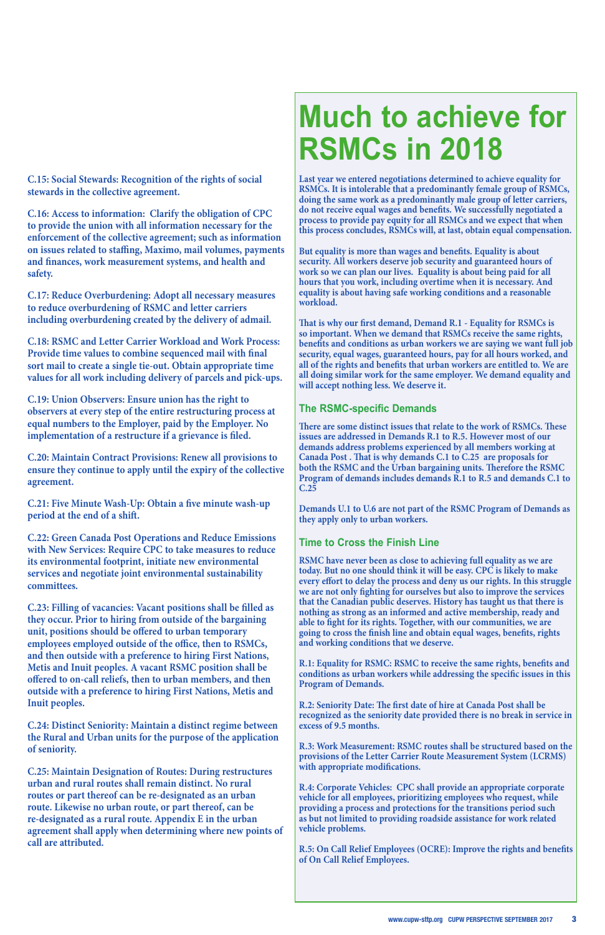**C.15: Social Stewards: Recognition of the rights of social stewards in the collective agreement.**

**C.16: Access to information: Clarify the obligation of CPC to provide the union with all information necessary for the enforcement of the collective agreement; such as information on issues related to staffing, Maximo, mail volumes, payments and finances, work measurement systems, and health and safety.**

**C.17: Reduce Overburdening: Adopt all necessary measures to reduce overburdening of RSMC and letter carriers including overburdening created by the delivery of admail.**

**C.18: RSMC and Letter Carrier Workload and Work Process: Provide time values to combine sequenced mail with final sort mail to create a single tie-out. Obtain appropriate time values for all work including delivery of parcels and pick-ups.**

**C.19: Union Observers: Ensure union has the right to observers at every step of the entire restructuring process at equal numbers to the Employer, paid by the Employer. No implementation of a restructure if a grievance is filed.**

**C.20: Maintain Contract Provisions: Renew all provisions to ensure they continue to apply until the expiry of the collective agreement.**

**C.21: Five Minute Wash-Up: Obtain a five minute wash-up period at the end of a shift.**

**C.22: Green Canada Post Operations and Reduce Emissions with New Services: Require CPC to take measures to reduce its environmental footprint, initiate new environmental services and negotiate joint environmental sustainability committees.** 

**C.23: Filling of vacancies: Vacant positions shall be filled as they occur. Prior to hiring from outside of the bargaining unit, positions should be offered to urban temporary employees employed outside of the office, then to RSMCs, and then outside with a preference to hiring First Nations, Metis and Inuit peoples. A vacant RSMC position shall be offered to on-call reliefs, then to urban members, and then** 

**outside with a preference to hiring First Nations, Metis and Inuit peoples.**

**C.24: Distinct Seniority: Maintain a distinct regime between the Rural and Urban units for the purpose of the application of seniority.**

**C.25: Maintain Designation of Routes: During restructures urban and rural routes shall remain distinct. No rural routes or part thereof can be re-designated as an urban route. Likewise no urban route, or part thereof, can be re-designated as a rural route. Appendix E in the urban agreement shall apply when determining where new points of call are attributed.**

## **Much to achieve for RSMCs in 2018**

**Last year we entered negotiations determined to achieve equality for RSMCs. It is intolerable that a predominantly female group of RSMCs, doing the same work as a predominantly male group of letter carriers, do not receive equal wages and benefits. We successfully negotiated a process to provide pay equity for all RSMCs and we expect that when this process concludes, RSMCs will, at last, obtain equal compensation.**

**But equality is more than wages and benefits. Equality is about security. All workers deserve job security and guaranteed hours of work so we can plan our lives. Equality is about being paid for all hours that you work, including overtime when it is necessary. And equality is about having safe working conditions and a reasonable workload.**

**That is why our first demand, Demand R.1 - Equality for RSMCs is so important. When we demand that RSMCs receive the same rights, benefits and conditions as urban workers we are saying we want full job security, equal wages, guaranteed hours, pay for all hours worked, and all of the rights and benefits that urban workers are entitled to. We are all doing similar work for the same employer. We demand equality and will accept nothing less. We deserve it.**

## **The RSMC-specific Demands**

**There are some distinct issues that relate to the work of RSMCs. These issues are addressed in Demands R.1 to R.5. However most of our demands address problems experienced by all members working at Canada Post . That is why demands C.1 to C.25 are proposals for both the RSMC and the Urban bargaining units. Therefore the RSMC Program of demands includes demands R.1 to R.5 and demands C.1 to C.25** 

**Demands U.1 to U.6 are not part of the RSMC Program of Demands as they apply only to urban workers.**

### **Time to Cross the Finish Line**

**RSMC have never been as close to achieving full equality as we are today. But no one should think it will be easy. CPC is likely to make every effort to delay the process and deny us our rights. In this struggle we are not only fighting for ourselves but also to improve the services that the Canadian public deserves. History has taught us that there is nothing as strong as an informed and active membership, ready and able to fight for its rights. Together, with our communities, we are going to cross the finish line and obtain equal wages, benefits, rights and working conditions that we deserve.**

**R.1: Equality for RSMC: RSMC to receive the same rights, benefits and conditions as urban workers while addressing the specific issues in this Program of Demands.**

**R.2: Seniority Date: The first date of hire at Canada Post shall be recognized as the seniority date provided there is no break in service in excess of 9.5 months.** 

**R.3: Work Measurement: RSMC routes shall be structured based on the provisions of the Letter Carrier Route Measurement System (LCRMS) with appropriate modifications.** 

**R.4: Corporate Vehicles: CPC shall provide an appropriate corporate vehicle for all employees, prioritizing employees who request, while providing a process and protections for the transitions period such as but not limited to providing roadside assistance for work related vehicle problems.**

**R.5: On Call Relief Employees (OCRE): Improve the rights and benefits of On Call Relief Employees.**